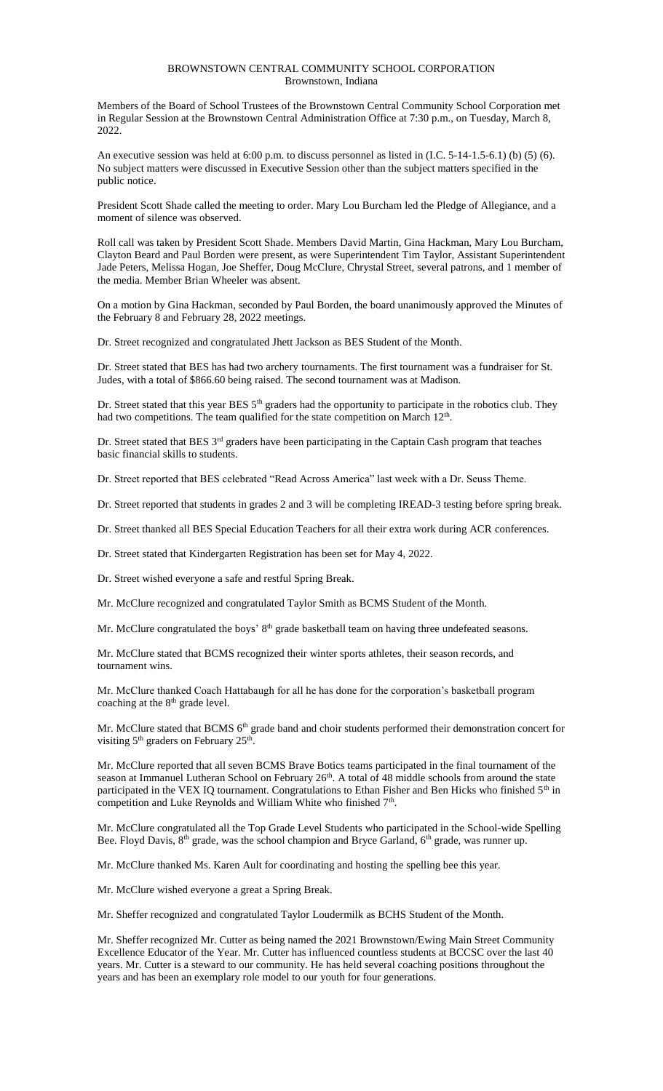#### BROWNSTOWN CENTRAL COMMUNITY SCHOOL CORPORATION Brownstown, Indiana

Members of the Board of School Trustees of the Brownstown Central Community School Corporation met in Regular Session at the Brownstown Central Administration Office at 7:30 p.m., on Tuesday, March 8, 2022.

An executive session was held at 6:00 p.m. to discuss personnel as listed in (I.C. 5-14-1.5-6.1) (b) (5) (6). No subject matters were discussed in Executive Session other than the subject matters specified in the public notice.

President Scott Shade called the meeting to order. Mary Lou Burcham led the Pledge of Allegiance, and a moment of silence was observed.

Roll call was taken by President Scott Shade. Members David Martin, Gina Hackman, Mary Lou Burcham, Clayton Beard and Paul Borden were present, as were Superintendent Tim Taylor, Assistant Superintendent Jade Peters, Melissa Hogan, Joe Sheffer, Doug McClure, Chrystal Street, several patrons, and 1 member of the media. Member Brian Wheeler was absent.

On a motion by Gina Hackman, seconded by Paul Borden, the board unanimously approved the Minutes of the February 8 and February 28, 2022 meetings.

Dr. Street recognized and congratulated Jhett Jackson as BES Student of the Month.

Dr. Street stated that BES has had two archery tournaments. The first tournament was a fundraiser for St. Judes, with a total of \$866.60 being raised. The second tournament was at Madison.

Dr. Street stated that this year BES 5<sup>th</sup> graders had the opportunity to participate in the robotics club. They had two competitions. The team qualified for the state competition on March 12<sup>th</sup>.

Dr. Street stated that BES 3<sup>rd</sup> graders have been participating in the Captain Cash program that teaches basic financial skills to students.

Dr. Street reported that BES celebrated "Read Across America" last week with a Dr. Seuss Theme.

Dr. Street reported that students in grades 2 and 3 will be completing IREAD-3 testing before spring break.

Dr. Street thanked all BES Special Education Teachers for all their extra work during ACR conferences.

Dr. Street stated that Kindergarten Registration has been set for May 4, 2022.

Dr. Street wished everyone a safe and restful Spring Break.

Mr. McClure recognized and congratulated Taylor Smith as BCMS Student of the Month.

Mr. McClure congratulated the boys'  $8<sup>th</sup>$  grade basketball team on having three undefeated seasons.

Mr. McClure stated that BCMS recognized their winter sports athletes, their season records, and tournament wins.

Mr. McClure thanked Coach Hattabaugh for all he has done for the corporation's basketball program coaching at the  $8<sup>th</sup>$  grade level.

Mr. McClure stated that BCMS 6<sup>th</sup> grade band and choir students performed their demonstration concert for visiting 5<sup>th</sup> graders on February 25<sup>th</sup> .

Mr. McClure reported that all seven BCMS Brave Botics teams participated in the final tournament of the season at Immanuel Lutheran School on February  $26<sup>th</sup>$ . A total of 48 middle schools from around the state participated in the VEX IQ tournament. Congratulations to Ethan Fisher and Ben Hicks who finished 5<sup>th</sup> in competition and Luke Reynolds and William White who finished 7<sup>th</sup>.

Mr. McClure congratulated all the Top Grade Level Students who participated in the School-wide Spelling Bee. Floyd Davis,  $8<sup>th</sup>$  grade, was the school champion and Bryce Garland,  $6<sup>th</sup>$  grade, was runner up.

Mr. McClure thanked Ms. Karen Ault for coordinating and hosting the spelling bee this year.

Mr. McClure wished everyone a great a Spring Break.

Mr. Sheffer recognized and congratulated Taylor Loudermilk as BCHS Student of the Month.

Mr. Sheffer recognized Mr. Cutter as being named the 2021 Brownstown/Ewing Main Street Community Excellence Educator of the Year. Mr. Cutter has influenced countless students at BCCSC over the last 40 years. Mr. Cutter is a steward to our community. He has held several coaching positions throughout the years and has been an exemplary role model to our youth for four generations.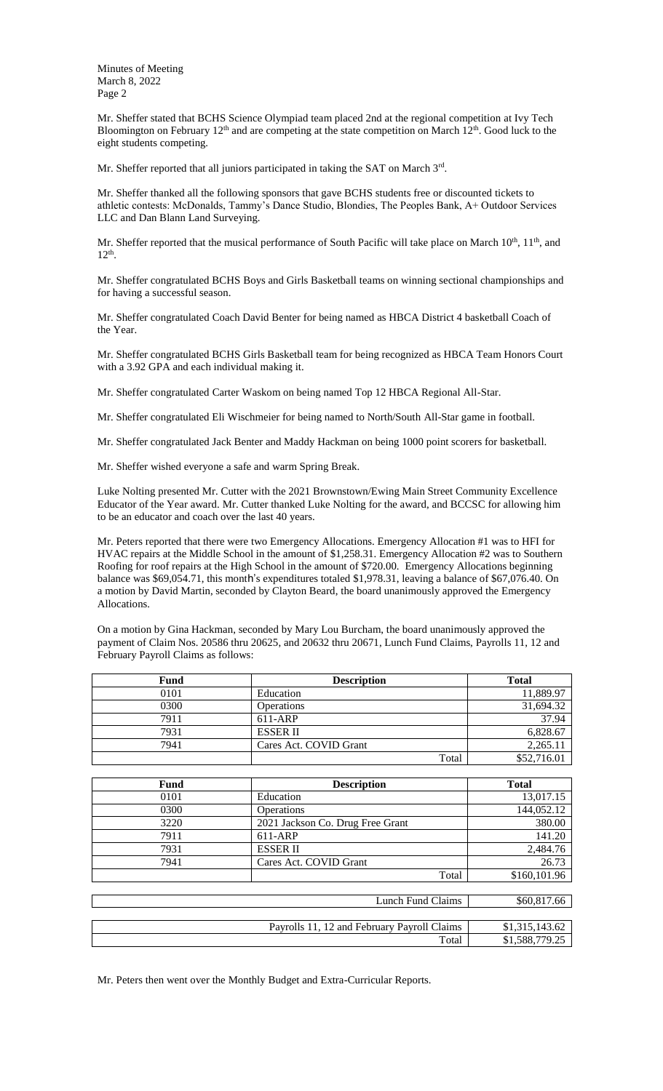Mr. Sheffer stated that BCHS Science Olympiad team placed 2nd at the regional competition at Ivy Tech Bloomington on February  $12<sup>th</sup>$  and are competing at the state competition on March  $12<sup>th</sup>$ . Good luck to the eight students competing.

Mr. Sheffer reported that all juniors participated in taking the SAT on March 3rd.

Mr. Sheffer thanked all the following sponsors that gave BCHS students free or discounted tickets to athletic contests: McDonalds, Tammy's Dance Studio, Blondies, The Peoples Bank, A+ Outdoor Services LLC and Dan Blann Land Surveying.

Mr. Sheffer reported that the musical performance of South Pacific will take place on March  $10^{th}$ ,  $11^{th}$ , and 12th .

Mr. Sheffer congratulated BCHS Boys and Girls Basketball teams on winning sectional championships and for having a successful season.

Mr. Sheffer congratulated Coach David Benter for being named as HBCA District 4 basketball Coach of the Year.

Mr. Sheffer congratulated BCHS Girls Basketball team for being recognized as HBCA Team Honors Court with a 3.92 GPA and each individual making it.

Mr. Sheffer congratulated Carter Waskom on being named Top 12 HBCA Regional All-Star.

Mr. Sheffer congratulated Eli Wischmeier for being named to North/South All-Star game in football.

Mr. Sheffer congratulated Jack Benter and Maddy Hackman on being 1000 point scorers for basketball.

Mr. Sheffer wished everyone a safe and warm Spring Break.

Luke Nolting presented Mr. Cutter with the 2021 Brownstown/Ewing Main Street Community Excellence Educator of the Year award. Mr. Cutter thanked Luke Nolting for the award, and BCCSC for allowing him to be an educator and coach over the last 40 years.

Mr. Peters reported that there were two Emergency Allocations. Emergency Allocation #1 was to HFI for HVAC repairs at the Middle School in the amount of \$1,258.31. Emergency Allocation #2 was to Southern Roofing for roof repairs at the High School in the amount of \$720.00. Emergency Allocations beginning balance was \$69,054.71, this month's expenditures totaled \$1,978.31, leaving a balance of \$67,076.40. On a motion by David Martin, seconded by Clayton Beard, the board unanimously approved the Emergency Allocations.

On a motion by Gina Hackman, seconded by Mary Lou Burcham, the board unanimously approved the payment of Claim Nos. 20586 thru 20625, and 20632 thru 20671, Lunch Fund Claims, Payrolls 11, 12 and February Payroll Claims as follows:

| Fund | <b>Description</b>     | <b>Total</b> |
|------|------------------------|--------------|
| 0101 | Education              | 11,889.97    |
| 0300 | <b>Operations</b>      | 31,694.32    |
| 7911 | $611-ARP$              | 37.94        |
| 7931 | <b>ESSER II</b>        | 6,828.67     |
| 7941 | Cares Act. COVID Grant | 2,265.11     |
|      | Total                  | \$52,716.01  |

| Fund | <b>Description</b>               | <b>Total</b>   |  |  |
|------|----------------------------------|----------------|--|--|
| 0101 | Education                        | 13,017.15      |  |  |
| 0300 | <b>Operations</b>                | 144,052.12     |  |  |
| 3220 | 2021 Jackson Co. Drug Free Grant | 380.00         |  |  |
| 7911 | 611-ARP                          | 141.20         |  |  |
| 7931 | <b>ESSER II</b>                  | 2,484.76       |  |  |
| 7941 | Cares Act. COVID Grant           | 26.73          |  |  |
|      | Total                            | \$160,101.96   |  |  |
|      |                                  |                |  |  |
|      | \$60,817.66                      |                |  |  |
|      |                                  |                |  |  |
|      | \$1,315,143.62                   |                |  |  |
|      | Total                            | \$1,588,779.25 |  |  |

Mr. Peters then went over the Monthly Budget and Extra-Curricular Reports.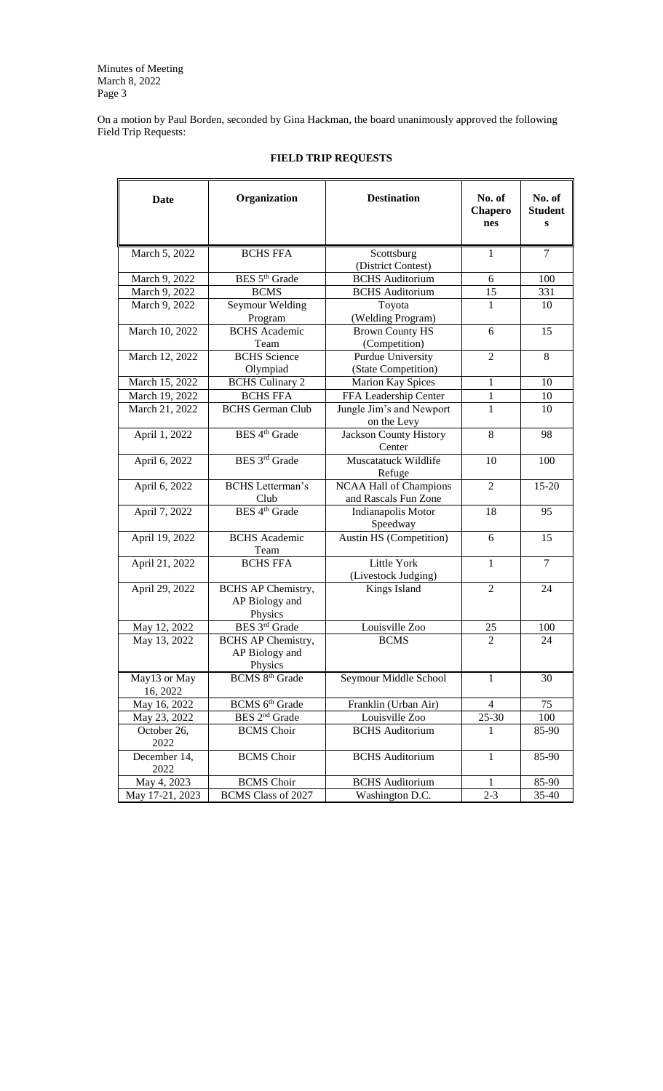On a motion by Paul Borden, seconded by Gina Hackman, the board unanimously approved the following Field Trip Requests:

| Date                 | Organization                 | <b>Destination</b>                      | No. of<br>Chapero<br>nes | No. of<br><b>Student</b><br>S |
|----------------------|------------------------------|-----------------------------------------|--------------------------|-------------------------------|
| March 5, 2022        | <b>BCHS FFA</b>              | Scottsburg                              | $\mathbf{1}$             | $\tau$                        |
|                      |                              | (District Contest)                      |                          |                               |
| March 9, 2022        | BES 5 <sup>th</sup> Grade    | <b>BCHS</b> Auditorium                  | 6                        | 100                           |
| March 9, 2022        | <b>BCMS</b>                  | <b>BCHS</b> Auditorium                  | 15                       | 331                           |
| March 9, 2022        | Seymour Welding              | Toyota                                  | 1                        | 10                            |
|                      | Program                      | (Welding Program)                       |                          |                               |
| March 10, 2022       | <b>BCHS</b> Academic         | <b>Brown County HS</b>                  | 6                        | 15                            |
|                      | Team                         | (Competition)                           |                          |                               |
| March 12, 2022       | <b>BCHS</b> Science          | <b>Purdue University</b>                | $\overline{2}$           | 8                             |
|                      | Olympiad                     | (State Competition)                     |                          |                               |
| March 15, 2022       | <b>BCHS</b> Culinary 2       | <b>Marion Kay Spices</b>                | 1                        | 10                            |
| March 19, 2022       | <b>BCHS FFA</b>              | FFA Leadership Center                   | 1                        | 10                            |
| March 21, 2022       | <b>BCHS</b> German Club      | Jungle Jim's and Newport                | 1                        | 10                            |
|                      |                              | on the Levy                             |                          |                               |
| April 1, 2022        | BES 4 <sup>th</sup> Grade    | <b>Jackson County History</b><br>Center | 8                        | 98                            |
| April 6, 2022        | BES 3rd Grade                | Muscatatuck Wildlife                    | 10                       | 100                           |
|                      |                              | Refuge                                  |                          |                               |
| April 6, 2022        | <b>BCHS</b> Letterman's      | NCAA Hall of Champions                  | $\overline{2}$           | 15-20                         |
|                      | Club                         | and Rascals Fun Zone                    |                          |                               |
| April 7, 2022        | BES 4 <sup>th</sup> Grade    | Indianapolis Motor                      | 18                       | 95                            |
|                      |                              | Speedway                                |                          |                               |
| April 19, 2022       | <b>BCHS</b> Academic<br>Team | Austin HS (Competition)                 | 6                        | 15                            |
| April 21, 2022       | <b>BCHS FFA</b>              | Little York                             | $\mathbf{1}$             | $\tau$                        |
|                      |                              | (Livestock Judging)                     |                          |                               |
| April 29, 2022       | <b>BCHS AP Chemistry,</b>    | Kings Island                            | $\overline{2}$           | 24                            |
|                      | AP Biology and               |                                         |                          |                               |
|                      | Physics                      |                                         |                          |                               |
| May 12, 2022         | BES 3rd Grade                | Louisville Zoo                          | 25                       | 100                           |
| May 13, 2022         | <b>BCHS AP Chemistry,</b>    | <b>BCMS</b>                             | $\overline{2}$           | 24                            |
|                      | AP Biology and               |                                         |                          |                               |
|                      | Physics                      |                                         |                          |                               |
| May13 or May         | BCMS 8 <sup>th</sup> Grade   | Seymour Middle School                   | $\mathbf{1}$             | 30                            |
| 16, 2022             |                              |                                         |                          |                               |
| May 16, 2022         | BCMS 6 <sup>th</sup> Grade   | Franklin (Urban Air)                    | $\overline{4}$           | 75                            |
| May 23, 2022         | BES 2 <sup>nd</sup> Grade    | Louisville Zoo                          | 25-30                    | 100                           |
| October 26,          | <b>BCMS</b> Choir            | <b>BCHS</b> Auditorium                  | 1                        | 85-90                         |
| 2022                 |                              |                                         |                          |                               |
| December 14,<br>2022 | <b>BCMS</b> Choir            | <b>BCHS</b> Auditorium                  | $\mathbf{1}$             | 85-90                         |
| May 4, 2023          | <b>BCMS</b> Choir            | <b>BCHS</b> Auditorium                  | 1                        | 85-90                         |
| May 17-21, 2023      | BCMS Class of 2027           | Washington D.C.                         | $2 - 3$                  | 35-40                         |

## **FIELD TRIP REQUESTS**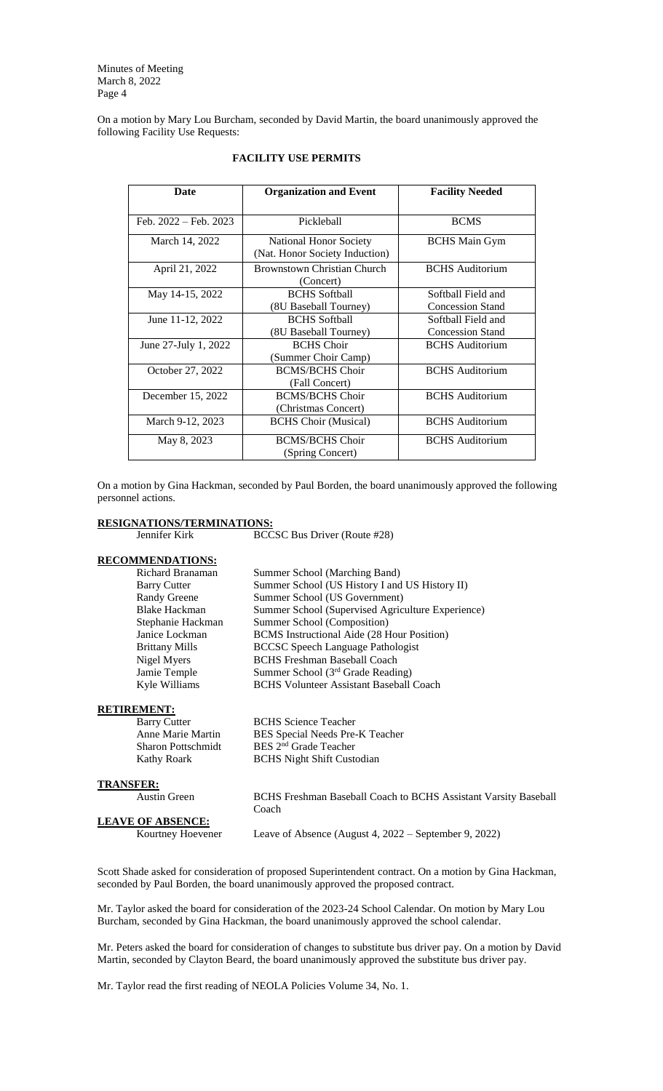On a motion by Mary Lou Burcham, seconded by David Martin, the board unanimously approved the following Facility Use Requests:

| Date                  | <b>Organization and Event</b>                            | <b>Facility Needed</b>                        |
|-----------------------|----------------------------------------------------------|-----------------------------------------------|
| Feb. 2022 – Feb. 2023 | Pickleball                                               | <b>BCMS</b>                                   |
| March 14, 2022        | National Honor Society<br>(Nat. Honor Society Induction) | <b>BCHS</b> Main Gym                          |
| April 21, 2022        | Brownstown Christian Church<br>(Concert)                 | <b>BCHS</b> Auditorium                        |
| May 14-15, 2022       | <b>BCHS</b> Softball<br>(8U Baseball Tourney)            | Softball Field and<br><b>Concession Stand</b> |
| June 11-12, 2022      | <b>BCHS</b> Softball<br>(8U Baseball Tourney)            | Softball Field and<br><b>Concession Stand</b> |
| June 27-July 1, 2022  | <b>BCHS</b> Choir<br>(Summer Choir Camp)                 | <b>BCHS</b> Auditorium                        |
| October 27, 2022      | <b>BCMS/BCHS Choir</b><br>(Fall Concert)                 | <b>BCHS</b> Auditorium                        |
| December 15, 2022     | <b>BCMS/BCHS Choir</b><br>(Christmas Concert)            | <b>BCHS</b> Auditorium                        |
| March 9-12, 2023      | <b>BCHS Choir (Musical)</b>                              | <b>BCHS</b> Auditorium                        |
| May 8, 2023           | <b>BCMS/BCHS Choir</b><br>(Spring Concert)               | <b>BCHS</b> Auditorium                        |

### **FACILITY USE PERMITS**

On a motion by Gina Hackman, seconded by Paul Borden, the board unanimously approved the following personnel actions.

# **RESIGNATIONS/TERMINATIONS:**<br>Jennifer Kirk BCC

BCCSC Bus Driver (Route #28)

### **RECOMMENDATIONS:**

Richard Branaman Summer School (Marching Band) Barry Cutter Summer School (US History I and US History II) Randy Greene Summer School (US Government) Blake Hackman Summer School (Supervised Agriculture Experience) Stephanie Hackman Summer School (Composition) Janice Lockman BCMS Instructional Aide (28 Hour Position)<br>Brittany Mills BCCSC Speech Language Pathologist BCCSC Speech Language Pathologist Nigel Myers BCHS Freshman Baseball Coach Jamie Temple Summer School (3<sup>rd</sup> Grade Reading)<br>Kyle Williams BCHS Volunteer Assistant Baseball **BCHS Volunteer Assistant Baseball Coach** 

### **RETIREMENT:**

Barry Cutter BCHS Science Teacher Anne Marie Martin BES Special Needs Pre-K Teacher<br>Sharon Pottschmidt BES 2<sup>nd</sup> Grade Teacher Kathy Roark BCHS Night Shift Custodian

**TRANSFER:**

Austin Green BCHS Freshman Baseball Coach to BCHS Assistant Varsity Baseball Coach

**LEAVE OF ABSENCE:**

Kourtney Hoevener Leave of Absence (August 4, 2022 – September 9, 2022)

Scott Shade asked for consideration of proposed Superintendent contract. On a motion by Gina Hackman, seconded by Paul Borden, the board unanimously approved the proposed contract.

BES 2<sup>nd</sup> Grade Teacher

Mr. Taylor asked the board for consideration of the 2023-24 School Calendar. On motion by Mary Lou Burcham, seconded by Gina Hackman, the board unanimously approved the school calendar.

Mr. Peters asked the board for consideration of changes to substitute bus driver pay. On a motion by David Martin, seconded by Clayton Beard, the board unanimously approved the substitute bus driver pay.

Mr. Taylor read the first reading of NEOLA Policies Volume 34, No. 1.